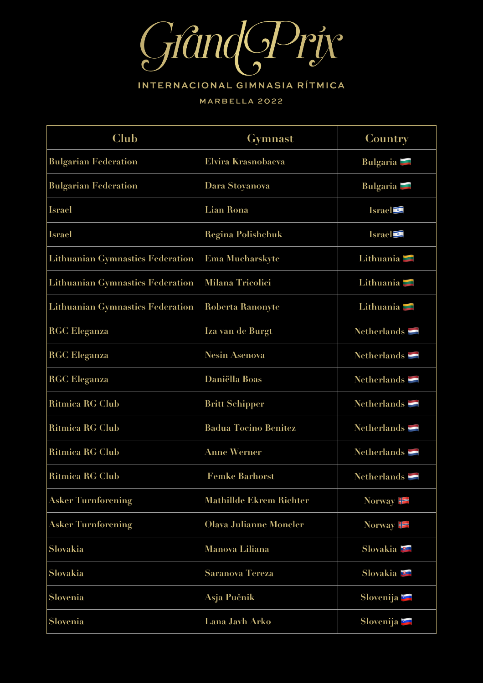

## INTERNACIONAL GIMNASIA RÍTMICA

## MARBELLA 2022

| Club                                    | <b>Gymnast</b>                 | Country                      |
|-----------------------------------------|--------------------------------|------------------------------|
| <b>Bulgarian Federation</b>             | <b>Elvira Krasnobaeva</b>      | Bulgaria <b>E</b>            |
| <b>Bulgarian Federation</b>             | Dara Stoyanova                 | Bulgaria <b>E</b>            |
| <b>Israel</b>                           | <b>Lian Rona</b>               | Israel <sup>o</sup>          |
| <b>Israel</b>                           | <b>Regina Polishchuk</b>       | <b>Israel</b>                |
| <b>Lithuanian Gymnastics Federation</b> | <b>Ema Mucharskyte</b>         | Lithuania <b>Lithuania</b>   |
| <b>Lithuanian Gymnastics Federation</b> | <b>Milana Tricolici</b>        | Lithuania <b>Lithuania</b>   |
| <b>Lithuanian Gymnastics Federation</b> | Roberta Ranonyte               | Lithuania <b>Lithuania</b>   |
| <b>RGC Eleganza</b>                     | Iza van de Burgt               | Netherlands $\blacksquare$   |
| <b>RGC Eleganza</b>                     | <b>Nesin Asenova</b>           | Netherlands $\blacksquare$   |
| <b>RGC Eleganza</b>                     | <b>Daniëlla Boas</b>           | Netherlands $\blacksquare$   |
| <b>Ritmica RG Club</b>                  | <b>Britt Schipper</b>          | Netherlands $\blacksquare$   |
| Ritmica RG Club                         | <b>Badua Tocino Benitez</b>    | Netherlands $\blacksquare$   |
| <b>Ritmica RG Club</b>                  | <b>Anne Werner</b>             | Netherlands $\blacksquare$   |
| <b>Ritmica RG Club</b>                  | <b>Femke Barhorst</b>          | Netherlands $\blacksquare$   |
| <b>Asker Turnforening</b>               | <b>Mathillde Ekrem Richter</b> | Norway $\blacktriangleright$ |
| <b>Asker Turnforening</b>               | <b>Olava Julianne Moncler</b>  | Norway $\blacktriangleright$ |
| Slovakia                                | <b>Manova Liliana</b>          | Slovakia <b>E</b>            |
| Slovakia                                | <b>Saranova Tereza</b>         | Slovakia <b>E</b>            |
| Slovenia                                | Asja Pučnik                    | Slovenija E                  |
| Slovenia                                | Lana Javh Arko                 | Slovenija <b>E</b>           |